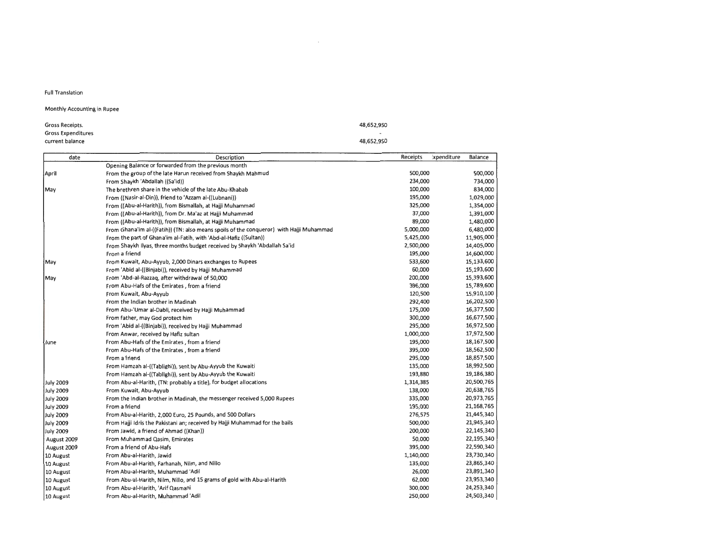Full Translation

## Monthly Accounting in Rupee

| Gross Receipts.    |  |  |  |
|--------------------|--|--|--|
| Gross Expenditures |  |  |  |
| current balance    |  |  |  |

| Opening Balance or forwarded from the previous month<br>From the group of the late Harun received from Shaykh Mahmud<br>500,000<br>500,000<br>April<br>234,000<br>From Shaykh 'Abdallah ((Sa'id))<br>734,000<br>100,000<br>834,000<br>The brethren share in the vehicle of the late Abu-Khabab<br>May<br>195,000<br>1,029,000<br>From ((Nasir-al-Din)), friend to 'Azzam al-((Lubnani))<br>325,000<br>1,354,000<br>From ((Abu-al-Harith)), from Bismallah, at Hajji Muhammad<br>37,000<br>1,391,000<br>From ((Abu-al-Harith)), from Dr. Ma'az at Hajji Muhammad<br>89,000<br>1,480,000<br>From ((Abu-al-Harith)), from Bismallah, at Hajji Muhammad<br>5,000,000<br>6,480,000<br>From Ghana'im al-((Fatih)) (TN: also means spoils of the conqueror) with Hajji Muhammad<br>11,905,000<br>From the part of Ghana'im al-Fatih, with 'Abd-al-Hafiz ((Sultan))<br>5,425,000<br>2,500,000<br>14,405,000<br>From Shaykh Ilyas, three months budget received by Shaykh 'Abdallah Sa'id<br>195,000<br>14,600,000<br>From a friend<br>15,133,600<br>From Kuwait, Abu-Ayyub, 2,000 Dinars exchanges to Rupees<br>533,600<br> May<br>15,193,600<br>60,000<br>From 'Abid al-((Binjabi)), received by Hajji Muhammad<br>200,000<br>15,393,600<br>From 'Abd-al-Razzag, after withdrawal of 50,000<br> May<br>15,789,600<br>396,000<br>From Abu-Hafs of the Emirates, from a friend<br>120,500<br>15,910,100<br>From Kuwait, Abu-Ayyub<br>292,400<br>16,202,500<br>From the Indian brother in Madinah<br>175,000<br>16,377,500<br>From Abu-'Umar al-Dabli, received by Hajji Muhammad<br>300,000<br>16,677,500<br>From father, may God protect him<br>295,000<br>16,972,500<br>From 'Abid al-((Binjabi)), received by Hajji Muhammad<br>17,972,500<br>1,000,000<br>From Anwar, received by Hafiz sultan<br>195,000<br>18,167,500<br>From Abu-Hafs of the Emirates, from a friend<br>lJune<br>395,000<br>18,562,500<br>From Abu-Hafs of the Emirates, from a friend<br>295,000<br>18,857,500<br>From a friend<br>135,000<br>18,992,500<br>From Hamzah al-((Tablighi)), sent by Abu-Ayyub the Kuwaiti<br>193,880<br>19,186,380<br>From Hamzah al-((Tablighi)), sent by Abu-Ayyub the Kuwaiti<br>20,500,765<br>1,314,385<br>July 2009<br>From Abu-al-Harith, (TN: probably a title), for budget allocations<br>138,000<br>20,638,765<br>July 2009<br>From Kuwait, Abu-Ayyub<br>335,000<br>20,973,765<br>July 2009<br>From the Indian brother in Madinah, the messenger received 5,000 Rupees<br>195,000<br>21,168,765<br>July 2009<br>From a friend<br>21,445,340<br>276,575<br>July 2009<br>From Abu-al-Harith, 2,000 Euro, 25 Pounds, and S00 Dollars<br>21,945,340<br>500,000<br>July 2009<br>From Hajji Idris the Pakistani an; received by Hajji Muhammad for the bails<br>200,000<br>22,145,340<br>July 2009<br>From Jawid, a friend of Ahmad ((Khan))<br>22,195,340<br>50,000<br>August 2009<br>From Muhammad Qasim, Emirates<br>395,000<br>22,590,340<br>From a friend of Abu-Hafs<br>August 2009<br>23,730,340<br>From Abu-al-Harith, Jawid<br>1,140,000<br>10 August<br>135,000<br>23,865,340<br>10 August<br>From Abu-al-Harith, Farhanah, Nilm, and Nillo<br>26,000<br>23,891,340<br>10 August<br>From Abu-al-Harith, Muhammad 'Adil<br>62,000<br>23,953,340<br>10 August<br>From Abu-al-Harith, Nilm, Nillo, and 15 grams of gold with Abu-al-Harith<br>24,253,340<br>From Abu-al-Harith, 'Arif Oasmani<br>300,000<br>10 August<br>250,000<br>24,503,340<br>From Abu-al-Harith, Muhammad 'Adil<br>10 August | date | Description | Receipts | ixpenditure | Balance |
|---------------------------------------------------------------------------------------------------------------------------------------------------------------------------------------------------------------------------------------------------------------------------------------------------------------------------------------------------------------------------------------------------------------------------------------------------------------------------------------------------------------------------------------------------------------------------------------------------------------------------------------------------------------------------------------------------------------------------------------------------------------------------------------------------------------------------------------------------------------------------------------------------------------------------------------------------------------------------------------------------------------------------------------------------------------------------------------------------------------------------------------------------------------------------------------------------------------------------------------------------------------------------------------------------------------------------------------------------------------------------------------------------------------------------------------------------------------------------------------------------------------------------------------------------------------------------------------------------------------------------------------------------------------------------------------------------------------------------------------------------------------------------------------------------------------------------------------------------------------------------------------------------------------------------------------------------------------------------------------------------------------------------------------------------------------------------------------------------------------------------------------------------------------------------------------------------------------------------------------------------------------------------------------------------------------------------------------------------------------------------------------------------------------------------------------------------------------------------------------------------------------------------------------------------------------------------------------------------------------------------------------------------------------------------------------------------------------------------------------------------------------------------------------------------------------------------------------------------------------------------------------------------------------------------------------------------------------------------------------------------------------------------------------------------------------------------------------------------------------------------------------------------------------------------------------------------------------------------------------------------------------------------------------------------------------------------------------------------------------------------------------------------------------------------------------------------------------------------------------------------------|------|-------------|----------|-------------|---------|
|                                                                                                                                                                                                                                                                                                                                                                                                                                                                                                                                                                                                                                                                                                                                                                                                                                                                                                                                                                                                                                                                                                                                                                                                                                                                                                                                                                                                                                                                                                                                                                                                                                                                                                                                                                                                                                                                                                                                                                                                                                                                                                                                                                                                                                                                                                                                                                                                                                                                                                                                                                                                                                                                                                                                                                                                                                                                                                                                                                                                                                                                                                                                                                                                                                                                                                                                                                                                                                                                                                         |      |             |          |             |         |
|                                                                                                                                                                                                                                                                                                                                                                                                                                                                                                                                                                                                                                                                                                                                                                                                                                                                                                                                                                                                                                                                                                                                                                                                                                                                                                                                                                                                                                                                                                                                                                                                                                                                                                                                                                                                                                                                                                                                                                                                                                                                                                                                                                                                                                                                                                                                                                                                                                                                                                                                                                                                                                                                                                                                                                                                                                                                                                                                                                                                                                                                                                                                                                                                                                                                                                                                                                                                                                                                                                         |      |             |          |             |         |
|                                                                                                                                                                                                                                                                                                                                                                                                                                                                                                                                                                                                                                                                                                                                                                                                                                                                                                                                                                                                                                                                                                                                                                                                                                                                                                                                                                                                                                                                                                                                                                                                                                                                                                                                                                                                                                                                                                                                                                                                                                                                                                                                                                                                                                                                                                                                                                                                                                                                                                                                                                                                                                                                                                                                                                                                                                                                                                                                                                                                                                                                                                                                                                                                                                                                                                                                                                                                                                                                                                         |      |             |          |             |         |
|                                                                                                                                                                                                                                                                                                                                                                                                                                                                                                                                                                                                                                                                                                                                                                                                                                                                                                                                                                                                                                                                                                                                                                                                                                                                                                                                                                                                                                                                                                                                                                                                                                                                                                                                                                                                                                                                                                                                                                                                                                                                                                                                                                                                                                                                                                                                                                                                                                                                                                                                                                                                                                                                                                                                                                                                                                                                                                                                                                                                                                                                                                                                                                                                                                                                                                                                                                                                                                                                                                         |      |             |          |             |         |
|                                                                                                                                                                                                                                                                                                                                                                                                                                                                                                                                                                                                                                                                                                                                                                                                                                                                                                                                                                                                                                                                                                                                                                                                                                                                                                                                                                                                                                                                                                                                                                                                                                                                                                                                                                                                                                                                                                                                                                                                                                                                                                                                                                                                                                                                                                                                                                                                                                                                                                                                                                                                                                                                                                                                                                                                                                                                                                                                                                                                                                                                                                                                                                                                                                                                                                                                                                                                                                                                                                         |      |             |          |             |         |
|                                                                                                                                                                                                                                                                                                                                                                                                                                                                                                                                                                                                                                                                                                                                                                                                                                                                                                                                                                                                                                                                                                                                                                                                                                                                                                                                                                                                                                                                                                                                                                                                                                                                                                                                                                                                                                                                                                                                                                                                                                                                                                                                                                                                                                                                                                                                                                                                                                                                                                                                                                                                                                                                                                                                                                                                                                                                                                                                                                                                                                                                                                                                                                                                                                                                                                                                                                                                                                                                                                         |      |             |          |             |         |
|                                                                                                                                                                                                                                                                                                                                                                                                                                                                                                                                                                                                                                                                                                                                                                                                                                                                                                                                                                                                                                                                                                                                                                                                                                                                                                                                                                                                                                                                                                                                                                                                                                                                                                                                                                                                                                                                                                                                                                                                                                                                                                                                                                                                                                                                                                                                                                                                                                                                                                                                                                                                                                                                                                                                                                                                                                                                                                                                                                                                                                                                                                                                                                                                                                                                                                                                                                                                                                                                                                         |      |             |          |             |         |
|                                                                                                                                                                                                                                                                                                                                                                                                                                                                                                                                                                                                                                                                                                                                                                                                                                                                                                                                                                                                                                                                                                                                                                                                                                                                                                                                                                                                                                                                                                                                                                                                                                                                                                                                                                                                                                                                                                                                                                                                                                                                                                                                                                                                                                                                                                                                                                                                                                                                                                                                                                                                                                                                                                                                                                                                                                                                                                                                                                                                                                                                                                                                                                                                                                                                                                                                                                                                                                                                                                         |      |             |          |             |         |
|                                                                                                                                                                                                                                                                                                                                                                                                                                                                                                                                                                                                                                                                                                                                                                                                                                                                                                                                                                                                                                                                                                                                                                                                                                                                                                                                                                                                                                                                                                                                                                                                                                                                                                                                                                                                                                                                                                                                                                                                                                                                                                                                                                                                                                                                                                                                                                                                                                                                                                                                                                                                                                                                                                                                                                                                                                                                                                                                                                                                                                                                                                                                                                                                                                                                                                                                                                                                                                                                                                         |      |             |          |             |         |
|                                                                                                                                                                                                                                                                                                                                                                                                                                                                                                                                                                                                                                                                                                                                                                                                                                                                                                                                                                                                                                                                                                                                                                                                                                                                                                                                                                                                                                                                                                                                                                                                                                                                                                                                                                                                                                                                                                                                                                                                                                                                                                                                                                                                                                                                                                                                                                                                                                                                                                                                                                                                                                                                                                                                                                                                                                                                                                                                                                                                                                                                                                                                                                                                                                                                                                                                                                                                                                                                                                         |      |             |          |             |         |
|                                                                                                                                                                                                                                                                                                                                                                                                                                                                                                                                                                                                                                                                                                                                                                                                                                                                                                                                                                                                                                                                                                                                                                                                                                                                                                                                                                                                                                                                                                                                                                                                                                                                                                                                                                                                                                                                                                                                                                                                                                                                                                                                                                                                                                                                                                                                                                                                                                                                                                                                                                                                                                                                                                                                                                                                                                                                                                                                                                                                                                                                                                                                                                                                                                                                                                                                                                                                                                                                                                         |      |             |          |             |         |
|                                                                                                                                                                                                                                                                                                                                                                                                                                                                                                                                                                                                                                                                                                                                                                                                                                                                                                                                                                                                                                                                                                                                                                                                                                                                                                                                                                                                                                                                                                                                                                                                                                                                                                                                                                                                                                                                                                                                                                                                                                                                                                                                                                                                                                                                                                                                                                                                                                                                                                                                                                                                                                                                                                                                                                                                                                                                                                                                                                                                                                                                                                                                                                                                                                                                                                                                                                                                                                                                                                         |      |             |          |             |         |
|                                                                                                                                                                                                                                                                                                                                                                                                                                                                                                                                                                                                                                                                                                                                                                                                                                                                                                                                                                                                                                                                                                                                                                                                                                                                                                                                                                                                                                                                                                                                                                                                                                                                                                                                                                                                                                                                                                                                                                                                                                                                                                                                                                                                                                                                                                                                                                                                                                                                                                                                                                                                                                                                                                                                                                                                                                                                                                                                                                                                                                                                                                                                                                                                                                                                                                                                                                                                                                                                                                         |      |             |          |             |         |
|                                                                                                                                                                                                                                                                                                                                                                                                                                                                                                                                                                                                                                                                                                                                                                                                                                                                                                                                                                                                                                                                                                                                                                                                                                                                                                                                                                                                                                                                                                                                                                                                                                                                                                                                                                                                                                                                                                                                                                                                                                                                                                                                                                                                                                                                                                                                                                                                                                                                                                                                                                                                                                                                                                                                                                                                                                                                                                                                                                                                                                                                                                                                                                                                                                                                                                                                                                                                                                                                                                         |      |             |          |             |         |
|                                                                                                                                                                                                                                                                                                                                                                                                                                                                                                                                                                                                                                                                                                                                                                                                                                                                                                                                                                                                                                                                                                                                                                                                                                                                                                                                                                                                                                                                                                                                                                                                                                                                                                                                                                                                                                                                                                                                                                                                                                                                                                                                                                                                                                                                                                                                                                                                                                                                                                                                                                                                                                                                                                                                                                                                                                                                                                                                                                                                                                                                                                                                                                                                                                                                                                                                                                                                                                                                                                         |      |             |          |             |         |
|                                                                                                                                                                                                                                                                                                                                                                                                                                                                                                                                                                                                                                                                                                                                                                                                                                                                                                                                                                                                                                                                                                                                                                                                                                                                                                                                                                                                                                                                                                                                                                                                                                                                                                                                                                                                                                                                                                                                                                                                                                                                                                                                                                                                                                                                                                                                                                                                                                                                                                                                                                                                                                                                                                                                                                                                                                                                                                                                                                                                                                                                                                                                                                                                                                                                                                                                                                                                                                                                                                         |      |             |          |             |         |
|                                                                                                                                                                                                                                                                                                                                                                                                                                                                                                                                                                                                                                                                                                                                                                                                                                                                                                                                                                                                                                                                                                                                                                                                                                                                                                                                                                                                                                                                                                                                                                                                                                                                                                                                                                                                                                                                                                                                                                                                                                                                                                                                                                                                                                                                                                                                                                                                                                                                                                                                                                                                                                                                                                                                                                                                                                                                                                                                                                                                                                                                                                                                                                                                                                                                                                                                                                                                                                                                                                         |      |             |          |             |         |
|                                                                                                                                                                                                                                                                                                                                                                                                                                                                                                                                                                                                                                                                                                                                                                                                                                                                                                                                                                                                                                                                                                                                                                                                                                                                                                                                                                                                                                                                                                                                                                                                                                                                                                                                                                                                                                                                                                                                                                                                                                                                                                                                                                                                                                                                                                                                                                                                                                                                                                                                                                                                                                                                                                                                                                                                                                                                                                                                                                                                                                                                                                                                                                                                                                                                                                                                                                                                                                                                                                         |      |             |          |             |         |
|                                                                                                                                                                                                                                                                                                                                                                                                                                                                                                                                                                                                                                                                                                                                                                                                                                                                                                                                                                                                                                                                                                                                                                                                                                                                                                                                                                                                                                                                                                                                                                                                                                                                                                                                                                                                                                                                                                                                                                                                                                                                                                                                                                                                                                                                                                                                                                                                                                                                                                                                                                                                                                                                                                                                                                                                                                                                                                                                                                                                                                                                                                                                                                                                                                                                                                                                                                                                                                                                                                         |      |             |          |             |         |
|                                                                                                                                                                                                                                                                                                                                                                                                                                                                                                                                                                                                                                                                                                                                                                                                                                                                                                                                                                                                                                                                                                                                                                                                                                                                                                                                                                                                                                                                                                                                                                                                                                                                                                                                                                                                                                                                                                                                                                                                                                                                                                                                                                                                                                                                                                                                                                                                                                                                                                                                                                                                                                                                                                                                                                                                                                                                                                                                                                                                                                                                                                                                                                                                                                                                                                                                                                                                                                                                                                         |      |             |          |             |         |
|                                                                                                                                                                                                                                                                                                                                                                                                                                                                                                                                                                                                                                                                                                                                                                                                                                                                                                                                                                                                                                                                                                                                                                                                                                                                                                                                                                                                                                                                                                                                                                                                                                                                                                                                                                                                                                                                                                                                                                                                                                                                                                                                                                                                                                                                                                                                                                                                                                                                                                                                                                                                                                                                                                                                                                                                                                                                                                                                                                                                                                                                                                                                                                                                                                                                                                                                                                                                                                                                                                         |      |             |          |             |         |
|                                                                                                                                                                                                                                                                                                                                                                                                                                                                                                                                                                                                                                                                                                                                                                                                                                                                                                                                                                                                                                                                                                                                                                                                                                                                                                                                                                                                                                                                                                                                                                                                                                                                                                                                                                                                                                                                                                                                                                                                                                                                                                                                                                                                                                                                                                                                                                                                                                                                                                                                                                                                                                                                                                                                                                                                                                                                                                                                                                                                                                                                                                                                                                                                                                                                                                                                                                                                                                                                                                         |      |             |          |             |         |
|                                                                                                                                                                                                                                                                                                                                                                                                                                                                                                                                                                                                                                                                                                                                                                                                                                                                                                                                                                                                                                                                                                                                                                                                                                                                                                                                                                                                                                                                                                                                                                                                                                                                                                                                                                                                                                                                                                                                                                                                                                                                                                                                                                                                                                                                                                                                                                                                                                                                                                                                                                                                                                                                                                                                                                                                                                                                                                                                                                                                                                                                                                                                                                                                                                                                                                                                                                                                                                                                                                         |      |             |          |             |         |
|                                                                                                                                                                                                                                                                                                                                                                                                                                                                                                                                                                                                                                                                                                                                                                                                                                                                                                                                                                                                                                                                                                                                                                                                                                                                                                                                                                                                                                                                                                                                                                                                                                                                                                                                                                                                                                                                                                                                                                                                                                                                                                                                                                                                                                                                                                                                                                                                                                                                                                                                                                                                                                                                                                                                                                                                                                                                                                                                                                                                                                                                                                                                                                                                                                                                                                                                                                                                                                                                                                         |      |             |          |             |         |
|                                                                                                                                                                                                                                                                                                                                                                                                                                                                                                                                                                                                                                                                                                                                                                                                                                                                                                                                                                                                                                                                                                                                                                                                                                                                                                                                                                                                                                                                                                                                                                                                                                                                                                                                                                                                                                                                                                                                                                                                                                                                                                                                                                                                                                                                                                                                                                                                                                                                                                                                                                                                                                                                                                                                                                                                                                                                                                                                                                                                                                                                                                                                                                                                                                                                                                                                                                                                                                                                                                         |      |             |          |             |         |
|                                                                                                                                                                                                                                                                                                                                                                                                                                                                                                                                                                                                                                                                                                                                                                                                                                                                                                                                                                                                                                                                                                                                                                                                                                                                                                                                                                                                                                                                                                                                                                                                                                                                                                                                                                                                                                                                                                                                                                                                                                                                                                                                                                                                                                                                                                                                                                                                                                                                                                                                                                                                                                                                                                                                                                                                                                                                                                                                                                                                                                                                                                                                                                                                                                                                                                                                                                                                                                                                                                         |      |             |          |             |         |
|                                                                                                                                                                                                                                                                                                                                                                                                                                                                                                                                                                                                                                                                                                                                                                                                                                                                                                                                                                                                                                                                                                                                                                                                                                                                                                                                                                                                                                                                                                                                                                                                                                                                                                                                                                                                                                                                                                                                                                                                                                                                                                                                                                                                                                                                                                                                                                                                                                                                                                                                                                                                                                                                                                                                                                                                                                                                                                                                                                                                                                                                                                                                                                                                                                                                                                                                                                                                                                                                                                         |      |             |          |             |         |
|                                                                                                                                                                                                                                                                                                                                                                                                                                                                                                                                                                                                                                                                                                                                                                                                                                                                                                                                                                                                                                                                                                                                                                                                                                                                                                                                                                                                                                                                                                                                                                                                                                                                                                                                                                                                                                                                                                                                                                                                                                                                                                                                                                                                                                                                                                                                                                                                                                                                                                                                                                                                                                                                                                                                                                                                                                                                                                                                                                                                                                                                                                                                                                                                                                                                                                                                                                                                                                                                                                         |      |             |          |             |         |
|                                                                                                                                                                                                                                                                                                                                                                                                                                                                                                                                                                                                                                                                                                                                                                                                                                                                                                                                                                                                                                                                                                                                                                                                                                                                                                                                                                                                                                                                                                                                                                                                                                                                                                                                                                                                                                                                                                                                                                                                                                                                                                                                                                                                                                                                                                                                                                                                                                                                                                                                                                                                                                                                                                                                                                                                                                                                                                                                                                                                                                                                                                                                                                                                                                                                                                                                                                                                                                                                                                         |      |             |          |             |         |
|                                                                                                                                                                                                                                                                                                                                                                                                                                                                                                                                                                                                                                                                                                                                                                                                                                                                                                                                                                                                                                                                                                                                                                                                                                                                                                                                                                                                                                                                                                                                                                                                                                                                                                                                                                                                                                                                                                                                                                                                                                                                                                                                                                                                                                                                                                                                                                                                                                                                                                                                                                                                                                                                                                                                                                                                                                                                                                                                                                                                                                                                                                                                                                                                                                                                                                                                                                                                                                                                                                         |      |             |          |             |         |
|                                                                                                                                                                                                                                                                                                                                                                                                                                                                                                                                                                                                                                                                                                                                                                                                                                                                                                                                                                                                                                                                                                                                                                                                                                                                                                                                                                                                                                                                                                                                                                                                                                                                                                                                                                                                                                                                                                                                                                                                                                                                                                                                                                                                                                                                                                                                                                                                                                                                                                                                                                                                                                                                                                                                                                                                                                                                                                                                                                                                                                                                                                                                                                                                                                                                                                                                                                                                                                                                                                         |      |             |          |             |         |
|                                                                                                                                                                                                                                                                                                                                                                                                                                                                                                                                                                                                                                                                                                                                                                                                                                                                                                                                                                                                                                                                                                                                                                                                                                                                                                                                                                                                                                                                                                                                                                                                                                                                                                                                                                                                                                                                                                                                                                                                                                                                                                                                                                                                                                                                                                                                                                                                                                                                                                                                                                                                                                                                                                                                                                                                                                                                                                                                                                                                                                                                                                                                                                                                                                                                                                                                                                                                                                                                                                         |      |             |          |             |         |
|                                                                                                                                                                                                                                                                                                                                                                                                                                                                                                                                                                                                                                                                                                                                                                                                                                                                                                                                                                                                                                                                                                                                                                                                                                                                                                                                                                                                                                                                                                                                                                                                                                                                                                                                                                                                                                                                                                                                                                                                                                                                                                                                                                                                                                                                                                                                                                                                                                                                                                                                                                                                                                                                                                                                                                                                                                                                                                                                                                                                                                                                                                                                                                                                                                                                                                                                                                                                                                                                                                         |      |             |          |             |         |
|                                                                                                                                                                                                                                                                                                                                                                                                                                                                                                                                                                                                                                                                                                                                                                                                                                                                                                                                                                                                                                                                                                                                                                                                                                                                                                                                                                                                                                                                                                                                                                                                                                                                                                                                                                                                                                                                                                                                                                                                                                                                                                                                                                                                                                                                                                                                                                                                                                                                                                                                                                                                                                                                                                                                                                                                                                                                                                                                                                                                                                                                                                                                                                                                                                                                                                                                                                                                                                                                                                         |      |             |          |             |         |
|                                                                                                                                                                                                                                                                                                                                                                                                                                                                                                                                                                                                                                                                                                                                                                                                                                                                                                                                                                                                                                                                                                                                                                                                                                                                                                                                                                                                                                                                                                                                                                                                                                                                                                                                                                                                                                                                                                                                                                                                                                                                                                                                                                                                                                                                                                                                                                                                                                                                                                                                                                                                                                                                                                                                                                                                                                                                                                                                                                                                                                                                                                                                                                                                                                                                                                                                                                                                                                                                                                         |      |             |          |             |         |
|                                                                                                                                                                                                                                                                                                                                                                                                                                                                                                                                                                                                                                                                                                                                                                                                                                                                                                                                                                                                                                                                                                                                                                                                                                                                                                                                                                                                                                                                                                                                                                                                                                                                                                                                                                                                                                                                                                                                                                                                                                                                                                                                                                                                                                                                                                                                                                                                                                                                                                                                                                                                                                                                                                                                                                                                                                                                                                                                                                                                                                                                                                                                                                                                                                                                                                                                                                                                                                                                                                         |      |             |          |             |         |
|                                                                                                                                                                                                                                                                                                                                                                                                                                                                                                                                                                                                                                                                                                                                                                                                                                                                                                                                                                                                                                                                                                                                                                                                                                                                                                                                                                                                                                                                                                                                                                                                                                                                                                                                                                                                                                                                                                                                                                                                                                                                                                                                                                                                                                                                                                                                                                                                                                                                                                                                                                                                                                                                                                                                                                                                                                                                                                                                                                                                                                                                                                                                                                                                                                                                                                                                                                                                                                                                                                         |      |             |          |             |         |
|                                                                                                                                                                                                                                                                                                                                                                                                                                                                                                                                                                                                                                                                                                                                                                                                                                                                                                                                                                                                                                                                                                                                                                                                                                                                                                                                                                                                                                                                                                                                                                                                                                                                                                                                                                                                                                                                                                                                                                                                                                                                                                                                                                                                                                                                                                                                                                                                                                                                                                                                                                                                                                                                                                                                                                                                                                                                                                                                                                                                                                                                                                                                                                                                                                                                                                                                                                                                                                                                                                         |      |             |          |             |         |
|                                                                                                                                                                                                                                                                                                                                                                                                                                                                                                                                                                                                                                                                                                                                                                                                                                                                                                                                                                                                                                                                                                                                                                                                                                                                                                                                                                                                                                                                                                                                                                                                                                                                                                                                                                                                                                                                                                                                                                                                                                                                                                                                                                                                                                                                                                                                                                                                                                                                                                                                                                                                                                                                                                                                                                                                                                                                                                                                                                                                                                                                                                                                                                                                                                                                                                                                                                                                                                                                                                         |      |             |          |             |         |
|                                                                                                                                                                                                                                                                                                                                                                                                                                                                                                                                                                                                                                                                                                                                                                                                                                                                                                                                                                                                                                                                                                                                                                                                                                                                                                                                                                                                                                                                                                                                                                                                                                                                                                                                                                                                                                                                                                                                                                                                                                                                                                                                                                                                                                                                                                                                                                                                                                                                                                                                                                                                                                                                                                                                                                                                                                                                                                                                                                                                                                                                                                                                                                                                                                                                                                                                                                                                                                                                                                         |      |             |          |             |         |
|                                                                                                                                                                                                                                                                                                                                                                                                                                                                                                                                                                                                                                                                                                                                                                                                                                                                                                                                                                                                                                                                                                                                                                                                                                                                                                                                                                                                                                                                                                                                                                                                                                                                                                                                                                                                                                                                                                                                                                                                                                                                                                                                                                                                                                                                                                                                                                                                                                                                                                                                                                                                                                                                                                                                                                                                                                                                                                                                                                                                                                                                                                                                                                                                                                                                                                                                                                                                                                                                                                         |      |             |          |             |         |
|                                                                                                                                                                                                                                                                                                                                                                                                                                                                                                                                                                                                                                                                                                                                                                                                                                                                                                                                                                                                                                                                                                                                                                                                                                                                                                                                                                                                                                                                                                                                                                                                                                                                                                                                                                                                                                                                                                                                                                                                                                                                                                                                                                                                                                                                                                                                                                                                                                                                                                                                                                                                                                                                                                                                                                                                                                                                                                                                                                                                                                                                                                                                                                                                                                                                                                                                                                                                                                                                                                         |      |             |          |             |         |

48,652,950 48,652,950

 $\sim 10^{-1}$ 

 $\sim 100$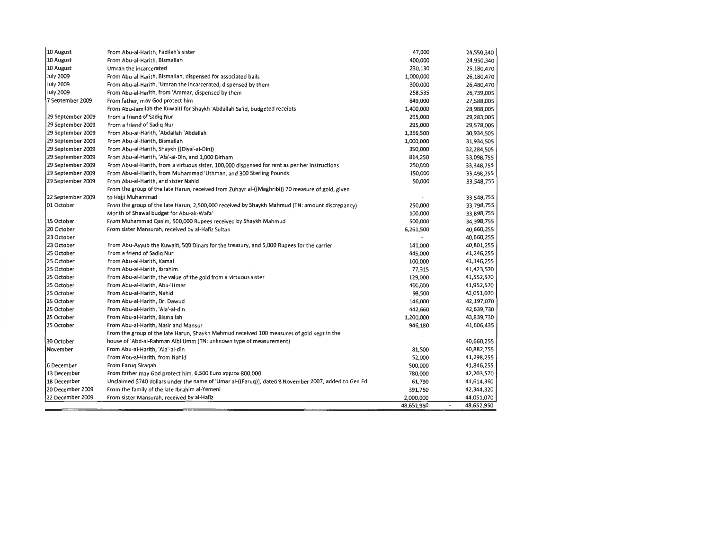| 10 August         | From Abu-al-Harith, Fadilah's sister                                                                 | 47,000     | 24,550,340                             |
|-------------------|------------------------------------------------------------------------------------------------------|------------|----------------------------------------|
| 10 August         | From Abu-al-Harith, Bismallah                                                                        | 400,000    | 24,950,340                             |
| 10 August         | Umran the incarcerated                                                                               | 230,130    | 25,180,470                             |
| July 2009         | From Abu-al-Harith, Bismallah, dispensed for associated bails                                        | 1,000,000  | 26,180,470                             |
| July 2009         | From Abu-al-Harith, 'Umran the incarcerated, dispensed by them                                       | 300,000    | 26,480,470                             |
| July 2009         | From Abu-al-Harith, from 'Ammar, dispensed by them                                                   | 258,535    | 26,739,005                             |
| 7 September 2009  | From father, may God protect him                                                                     | 849,000    | 27,588,005                             |
|                   | From Abu-Jamilah the Kuwaiti for Shaykh 'Abdallah Sa'id, budgeted receipts                           | 1,400,000  | 28,988,005                             |
| 29 September 2009 | From a friend of Sadig Nur                                                                           | 295,000    | 29,283,005                             |
| 29 September 2009 | From a friend of Sadig Nur                                                                           | 295,000    | 29,578,005                             |
| 29 September 2009 | From Abu-al-Harith, 'Abdallah 'Abdallah                                                              | 1,356,500  | 30,934,505                             |
| 29 September 2009 | From Abu-al-Harith, Bismallah                                                                        | 1,000,000  | 31,934,505                             |
| 29 September 2009 | From Abu-al-Harith, Shaykh ((Diya'-al-Din))                                                          | 350,000    | 32,284,505                             |
| 29 September 2009 | From Abu-al-Harith, 'Ala'-al-Din, and 1,000 Dirham                                                   | 814,250    | 33,098,755                             |
| 29 September 2009 | From Abu-al-Harith, from a virtuous sister, 100,000 dispensed for rent as per her instructions       | 250,000    | 33,348,755                             |
| 29 September 2009 | From Abu-al-Harith, from Muhammad 'Uthman, and 300 Sterling Pounds                                   | 150,000    | 33,498,755                             |
| 29 September 2009 | From Abu-al-Harith, and sister Nahid                                                                 | 50,000     | 33,548,755                             |
|                   | From the group of the late Harun, received from Zuhayr al-((Maghribi)) 70 measure of gold, given     |            |                                        |
| 22 September 2009 | to Hajji Muhammad                                                                                    |            | 33,548,755                             |
| 01 October        | From the group of the late Harun, 2,500,000 received by Shaykh Mahmud (TN: amount discrepancy)       | 250,000    | 33,798,755                             |
|                   | Month of Shawal budget for Abu-ak-Wafa'                                                              | 100,000    | 33,898,755                             |
| 15 October        | From Muhammad Qasim, 500,000 Rupees received by Shaykh Mahmud                                        | 500,000    | 34,398,755                             |
| 20 October        | From sister Mansurah, received by al-Hafiz Sultan                                                    | 6,261,500  | 40,660,255                             |
| 23 October        |                                                                                                      |            | 40,660,255                             |
| 23 October        | From Abu-Ayyub the Kuwaiti, 500 Dinars for the treasury, and 5,000 Rupees for the carrier            | 141,000    | 40,801,255                             |
| 25 October        | From a friend of Sadig Nur                                                                           | 445,000    | 41,246,255                             |
| 25 October        | From Abu-al-Harith, Kamal                                                                            | 100,000    | 41,346,255                             |
| 25 October        | From Abu-al-Harith, Ibrahim                                                                          | 77,315     | 41,423,570                             |
| 25 October        | From Abu-al-Harith, the value of the gold from a virtuous sister                                     | 129,000    | 41,552,570                             |
| 25 October        | From Abu-al-Harith, Abu-'Umar                                                                        | 400,000    | 41,952,570                             |
| 25 October        | From Abu-al-Harith, Nahid                                                                            | 98,500     | 42,051,070                             |
| 25 October        | From Abu-al-Harith, Dr. Dawud                                                                        | 146,000    | 42,197,070                             |
| 25 October        | From Abu-al-Harith, 'Ala'-al-din                                                                     | 442,660    | 42,639,730                             |
| 25 October        | From Abu-al-Harith, Bismallah                                                                        | 1,200,000  | 43,839,730                             |
| 25 October        | From Abu-al-Harith, Nasir and Mansur                                                                 | 946,180    | 41,606,435                             |
|                   | From the group of the late Harun, Shaykh Mahmud received 100 measures of gold kept in the            |            |                                        |
| 30 October        | house of 'Abd-al-Rahman Albi Umm (TN: unknown type of measurement)                                   |            | 40,660,255                             |
| November          | From Abu-al-Harith, 'Ala'-al-din                                                                     | 81,500     | 40,882,755                             |
|                   | From Abu-al-Harith, from Nahid                                                                       | 52,000     | 41,298,255                             |
| 6 December        | From Faruq Siraqah                                                                                   | 500,000    | 41,846,255                             |
| 13 December       | From father may God protect him, 6,500 Euro approx 800,000                                           | 780,000    | 42,203,570                             |
| 18 December       | Unclaimed \$740 dollars under the name of 'Umar al-((Farug)), dated 8 November 2007, added to Gen Fd | 61,790     | 41,614,360                             |
| 20 December 2009  | From the family of the late Ibrahim al-Yemeni                                                        | 391,750    | 42,344,320                             |
| 22 December 2009  | From sister Mansurah, received by al-Hafiz                                                           | 2,000,000  | 44,051,070                             |
|                   |                                                                                                      | 48,652,950 | 48,652,950<br>$\overline{\phantom{a}}$ |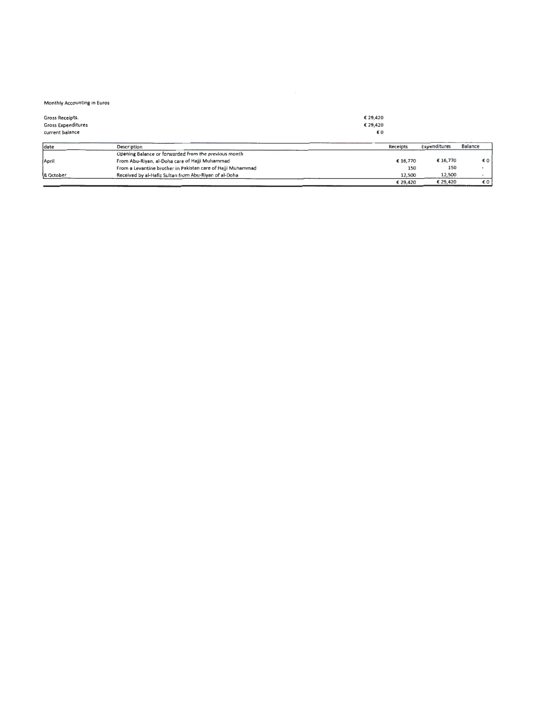## Monthly Accounting in Euros

| Gross Receipts.<br><b>Gross Expenditures</b><br>current balance |                                                             | € 29.420<br>€ 29,420<br>€0 |          |              |                |
|-----------------------------------------------------------------|-------------------------------------------------------------|----------------------------|----------|--------------|----------------|
| date                                                            | Description                                                 |                            | Receipts | Expenditures | <b>Balance</b> |
|                                                                 | Opening Balance or forwarded from the previous month        |                            |          |              |                |
| April                                                           | From Abu-Riyan, al-Doha care of Hajji Muhammad              |                            | € 16.770 | € 16,770     | €0             |
|                                                                 | From a Levantine brother in Pakistan care of Haiji Muhammad |                            | 150      | 150          | ۰              |
| 8 October                                                       | Received by al-Hafiz Sultan from Abu-Riyan of al-Doha       |                            | 12.500   | 12,500       |                |
|                                                                 |                                                             |                            | € 29.420 | € 29,420     | €0             |